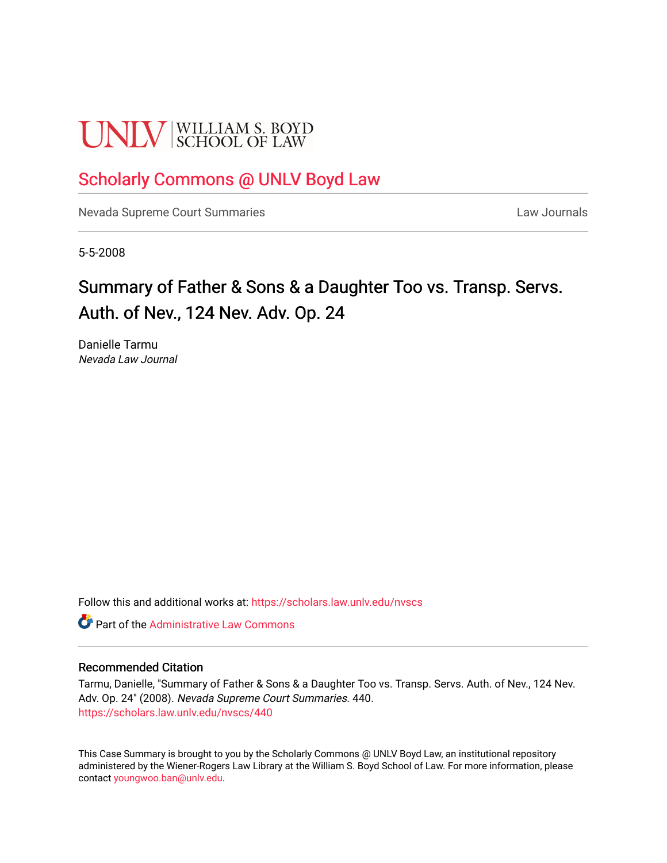# **UNLV** SCHOOL OF LAW

## [Scholarly Commons @ UNLV Boyd Law](https://scholars.law.unlv.edu/)

[Nevada Supreme Court Summaries](https://scholars.law.unlv.edu/nvscs) **Law Journals** Law Journals

5-5-2008

# Summary of Father & Sons & a Daughter Too vs. Transp. Servs. Auth. of Nev., 124 Nev. Adv. Op. 24

Danielle Tarmu Nevada Law Journal

Follow this and additional works at: [https://scholars.law.unlv.edu/nvscs](https://scholars.law.unlv.edu/nvscs?utm_source=scholars.law.unlv.edu%2Fnvscs%2F440&utm_medium=PDF&utm_campaign=PDFCoverPages)

**C** Part of the Administrative Law Commons

#### Recommended Citation

Tarmu, Danielle, "Summary of Father & Sons & a Daughter Too vs. Transp. Servs. Auth. of Nev., 124 Nev. Adv. Op. 24" (2008). Nevada Supreme Court Summaries. 440. [https://scholars.law.unlv.edu/nvscs/440](https://scholars.law.unlv.edu/nvscs/440?utm_source=scholars.law.unlv.edu%2Fnvscs%2F440&utm_medium=PDF&utm_campaign=PDFCoverPages)

This Case Summary is brought to you by the Scholarly Commons @ UNLV Boyd Law, an institutional repository administered by the Wiener-Rogers Law Library at the William S. Boyd School of Law. For more information, please contact [youngwoo.ban@unlv.edu](mailto:youngwoo.ban@unlv.edu).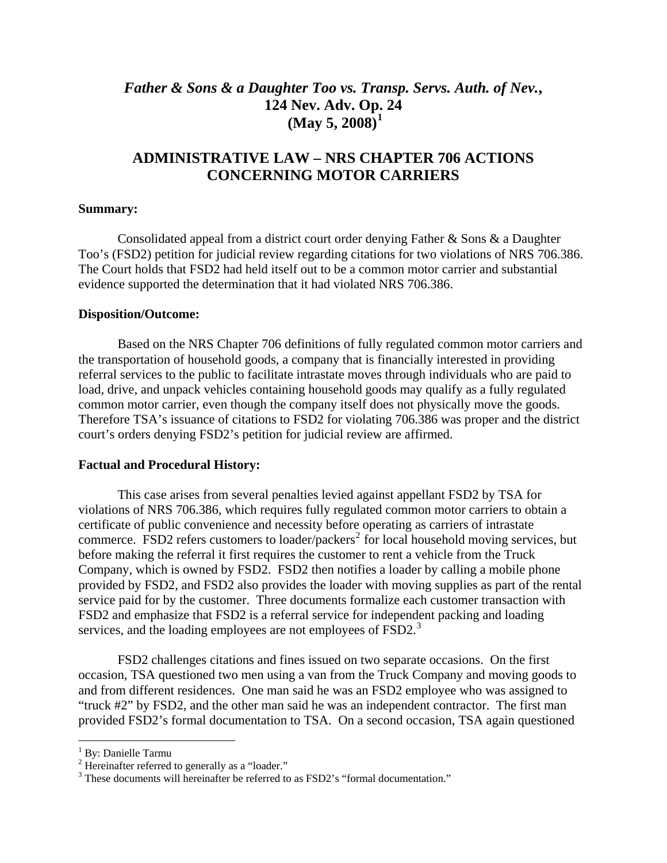## *Father & Sons & a Daughter Too vs. Transp. Servs. Auth. of Nev.***, 124 Nev. Adv. Op[.](#page-1-0) 24 (May 5, 2008)[1](#page-1-0)**

### **ADMINISTRATIVE LAW – NRS CHAPTER 706 ACTIONS CONCERNING MOTOR CARRIERS**

#### **Summary:**

Consolidated appeal from a district court order denying Father & Sons & a Daughter Too's (FSD2) petition for judicial review regarding citations for two violations of NRS 706.386. The Court holds that FSD2 had held itself out to be a common motor carrier and substantial evidence supported the determination that it had violated NRS 706.386.

#### **Disposition/Outcome:**

 Based on the NRS Chapter 706 definitions of fully regulated common motor carriers and the transportation of household goods, a company that is financially interested in providing referral services to the public to facilitate intrastate moves through individuals who are paid to load, drive, and unpack vehicles containing household goods may qualify as a fully regulated common motor carrier, even though the company itself does not physically move the goods. Therefore TSA's issuance of citations to FSD2 for violating 706.386 was proper and the district court's orders denying FSD2's petition for judicial review are affirmed.

#### **Factual and Procedural History:**

 This case arises from several penalties levied against appellant FSD2 by TSA for violations of NRS 706.386, which requires fully regulated common motor carriers to obtain a certificate of public convenience and necessity before operating as carriers of intrastate commerce. FSD[2](#page-1-1) refers customers to loader/packers<sup>2</sup> for local household moving services, but before making the referral it first requires the customer to rent a vehicle from the Truck Company, which is owned by FSD2. FSD2 then notifies a loader by calling a mobile phone provided by FSD2, and FSD2 also provides the loader with moving supplies as part of the rental service paid for by the customer. Three documents formalize each customer transaction with FSD2 and emphasize that FSD2 is a referral service for independent packing and loading services, and the loading employees are not employees of FSD2.<sup>[3](#page-1-2)</sup>

 FSD2 challenges citations and fines issued on two separate occasions. On the first occasion, TSA questioned two men using a van from the Truck Company and moving goods to and from different residences. One man said he was an FSD2 employee who was assigned to "truck #2" by FSD2, and the other man said he was an independent contractor. The first man provided FSD2's formal documentation to TSA. On a second occasion, TSA again questioned

 $\overline{a}$ 

<span id="page-1-0"></span><sup>&</sup>lt;sup>1</sup> By: Danielle Tarmu

<span id="page-1-1"></span> $2$  Hereinafter referred to generally as a "loader."

<span id="page-1-2"></span><sup>&</sup>lt;sup>3</sup> These documents will hereinafter be referred to as FSD2's "formal documentation."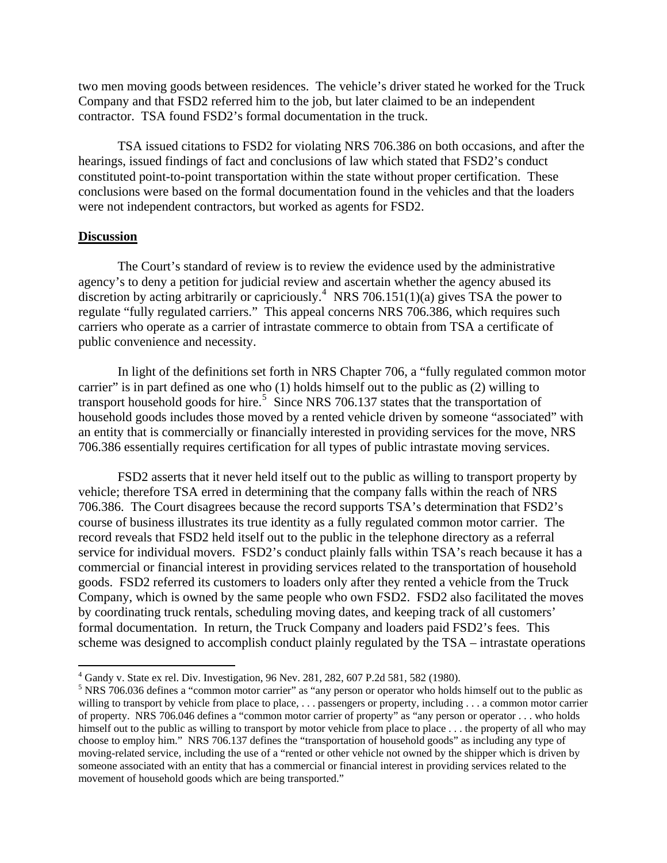two men moving goods between residences. The vehicle's driver stated he worked for the Truck Company and that FSD2 referred him to the job, but later claimed to be an independent contractor. TSA found FSD2's formal documentation in the truck.

 TSA issued citations to FSD2 for violating NRS 706.386 on both occasions, and after the hearings, issued findings of fact and conclusions of law which stated that FSD2's conduct constituted point-to-point transportation within the state without proper certification. These conclusions were based on the formal documentation found in the vehicles and that the loaders were not independent contractors, but worked as agents for FSD2.

#### **Discussion**

 $\overline{a}$ 

 The Court's standard of review is to review the evidence used by the administrative agency's to deny a petition for judicial review and ascertain whether the agency abused its discretion by acting arbitrarily or capriciously.<sup>[4](#page-2-0)</sup> NRS 706.151(1)(a) gives TSA the power to regulate "fully regulated carriers." This appeal concerns NRS 706.386, which requires such carriers who operate as a carrier of intrastate commerce to obtain from TSA a certificate of public convenience and necessity.

 In light of the definitions set forth in NRS Chapter 706, a "fully regulated common motor carrier" is in part defined as one who (1) holds himself out to the public as (2) willing to transport household goods for hire.<sup>[5](#page-2-1)</sup> Since NRS 706.137 states that the transportation of household goods includes those moved by a rented vehicle driven by someone "associated" with an entity that is commercially or financially interested in providing services for the move, NRS 706.386 essentially requires certification for all types of public intrastate moving services.

 FSD2 asserts that it never held itself out to the public as willing to transport property by vehicle; therefore TSA erred in determining that the company falls within the reach of NRS 706.386. The Court disagrees because the record supports TSA's determination that FSD2's course of business illustrates its true identity as a fully regulated common motor carrier. The record reveals that FSD2 held itself out to the public in the telephone directory as a referral service for individual movers. FSD2's conduct plainly falls within TSA's reach because it has a commercial or financial interest in providing services related to the transportation of household goods. FSD2 referred its customers to loaders only after they rented a vehicle from the Truck Company, which is owned by the same people who own FSD2. FSD2 also facilitated the moves by coordinating truck rentals, scheduling moving dates, and keeping track of all customers' formal documentation. In return, the Truck Company and loaders paid FSD2's fees. This scheme was designed to accomplish conduct plainly regulated by the TSA – intrastate operations

<sup>4</sup> Gandy v. State ex rel. Div. Investigation, 96 Nev. 281, 282, 607 P.2d 581, 582 (1980).

<span id="page-2-1"></span><span id="page-2-0"></span><sup>&</sup>lt;sup>5</sup> NRS 706.036 defines a "common motor carrier" as "any person or operator who holds himself out to the public as willing to transport by vehicle from place to place, ... passengers or property, including ... a common motor carrier of property. NRS 706.046 defines a "common motor carrier of property" as "any person or operator . . . who holds himself out to the public as willing to transport by motor vehicle from place to place ... the property of all who may choose to employ him." NRS 706.137 defines the "transportation of household goods" as including any type of moving-related service, including the use of a "rented or other vehicle not owned by the shipper which is driven by someone associated with an entity that has a commercial or financial interest in providing services related to the movement of household goods which are being transported."